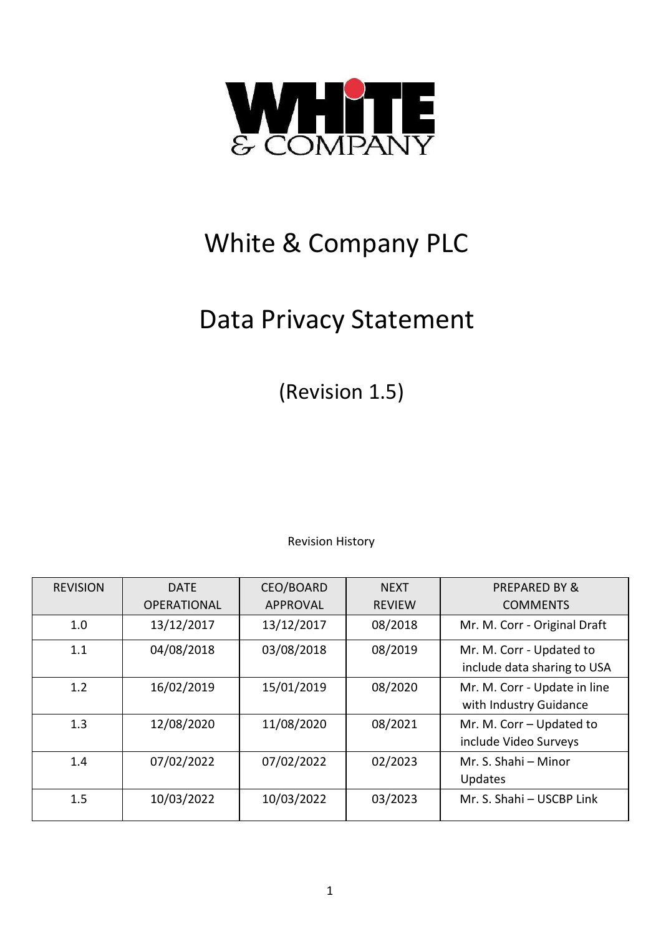

# White & Company PLC

## Data Privacy Statement

(Revision 1.5)

Revision History

| <b>REVISION</b> | <b>DATE</b>        | CEO/BOARD       | <b>NEXT</b>   | <b>PREPARED BY &amp;</b>     |
|-----------------|--------------------|-----------------|---------------|------------------------------|
|                 | <b>OPERATIONAL</b> | <b>APPROVAL</b> | <b>REVIEW</b> | <b>COMMENTS</b>              |
| 1.0             | 13/12/2017         | 13/12/2017      | 08/2018       | Mr. M. Corr - Original Draft |
| 1.1             | 04/08/2018         | 03/08/2018      | 08/2019       | Mr. M. Corr - Updated to     |
|                 |                    |                 |               | include data sharing to USA  |
| 1.2             | 16/02/2019         | 15/01/2019      | 08/2020       | Mr. M. Corr - Update in line |
|                 |                    |                 |               | with Industry Guidance       |
| 1.3             | 12/08/2020         | 11/08/2020      | 08/2021       | Mr. M. Corr - Updated to     |
|                 |                    |                 |               | include Video Surveys        |
| 1.4             | 07/02/2022         | 07/02/2022      | 02/2023       | Mr. S. Shahi - Minor         |
|                 |                    |                 |               | Updates                      |
| 1.5             | 10/03/2022         | 10/03/2022      | 03/2023       | Mr. S. Shahi - USCBP Link    |
|                 |                    |                 |               |                              |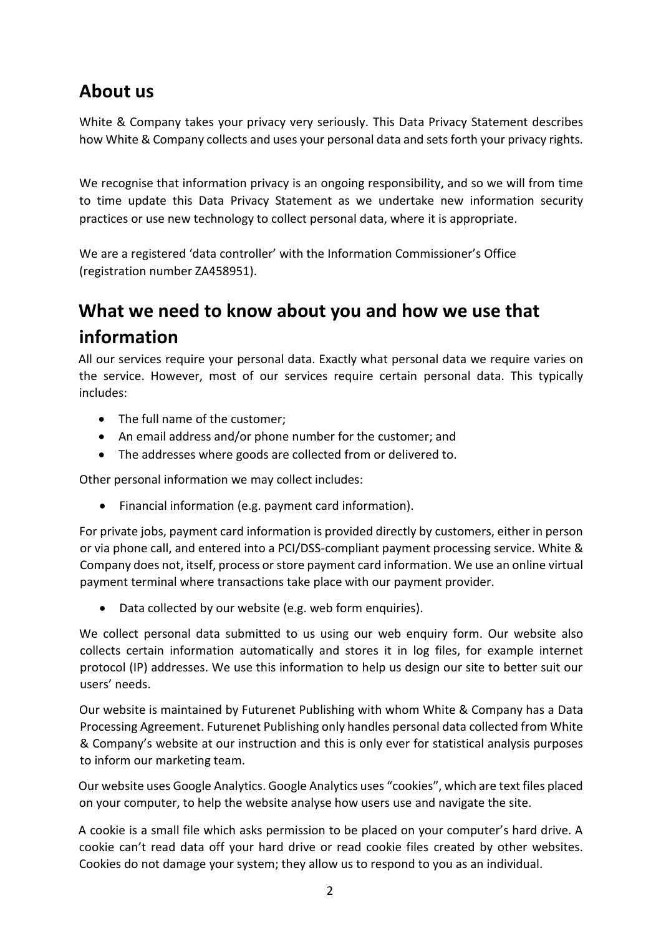#### **About us**

White & Company takes your privacy very seriously. This Data Privacy Statement describes how White & Company collects and uses your personal data and sets forth your privacy rights.

We recognise that information privacy is an ongoing responsibility, and so we will from time to time update this Data Privacy Statement as we undertake new information security practices or use new technology to collect personal data, where it is appropriate.

We are a registered 'data controller' with the Information Commissioner's Office (registration number ZA458951).

## **What we need to know about you and how we use that information**

All our services require your personal data. Exactly what personal data we require varies on the service. However, most of our services require certain personal data. This typically includes:

- The full name of the customer;
- An email address and/or phone number for the customer; and
- The addresses where goods are collected from or delivered to.

Other personal information we may collect includes:

Financial information (e.g. payment card information).

For private jobs, payment card information is provided directly by customers, either in person or via phone call, and entered into a PCI/DSS-compliant payment processing service. White & Company does not, itself, process or store payment card information. We use an online virtual payment terminal where transactions take place with our payment provider.

Data collected by our website (e.g. web form enquiries).

We collect personal data submitted to us using our web enquiry form. Our website also collects certain information automatically and stores it in log files, for example internet protocol (IP) addresses. We use this information to help us design our site to better suit our users' needs.

Our website is maintained by Futurenet Publishing with whom White & Company has a Data Processing Agreement. Futurenet Publishing only handles personal data collected from White & Company's website at our instruction and this is only ever for statistical analysis purposes to inform our marketing team.

Our website uses Google Analytics. Google Analytics uses "cookies", which are text files placed on your computer, to help the website analyse how users use and navigate the site.

A cookie is a small file which asks permission to be placed on your computer's hard drive. A cookie can't read data off your hard drive or read cookie files created by other websites. Cookies do not damage your system; they allow us to respond to you as an individual.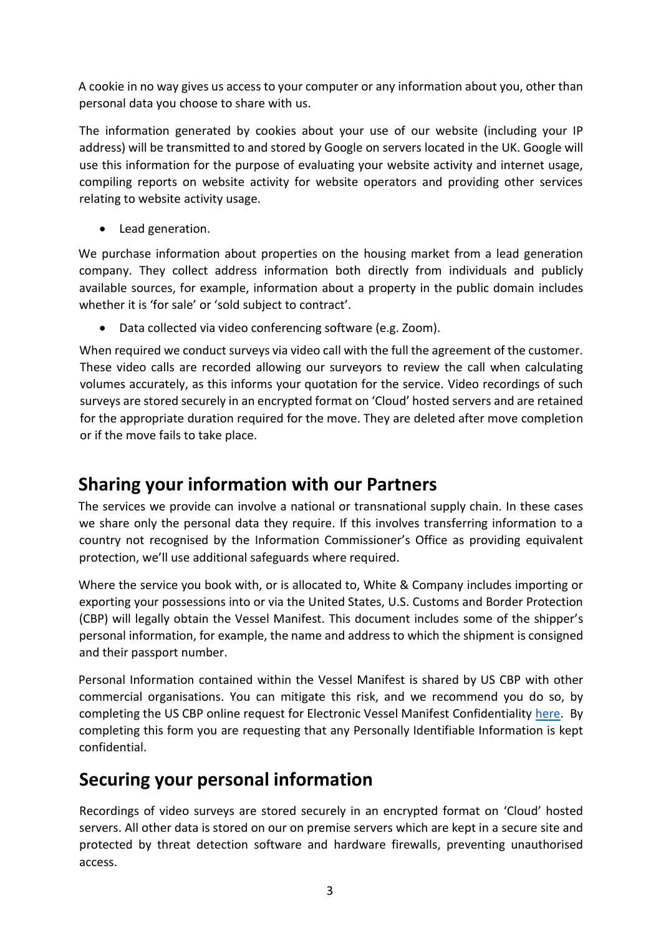A cookie in no way gives us access to your computer or any information about you, other than personal data you choose to share with us.

The information generated by cookies about your use of our website (including your IP address) will be transmitted to and stored by Google on servers located in the UK. Google will use this information for the purpose of evaluating your website activity and internet usage, compiling reports on website activity for website operators and providing other services relating to website activity usage.

• Lead generation.

We purchase information about properties on the housing market from a lead generation company. They collect address information both directly from individuals and publicly available sources, for example, information about a property in the public domain includes whether it is 'for sale' or 'sold subject to contract'.

Data collected via video conferencing software (e.g. Zoom).

When required we conduct surveys via video call with the full the agreement of the customer. These video calls are recorded allowing our surveyors to review the call when calculating volumes accurately, as this informs your quotation for the service. Video recordings of such surveys are stored securely in an encrypted format on 'Cloud' hosted servers and are retained for the appropriate duration required for the move. They are deleted after move completion or if the move fails to take place.

#### **Sharing your information with our Partners**

The services we provide can involve a national or transnational supply chain. In these cases we share only the personal data they require. If this involves transferring information to a country not recognised by the Information Commissioner's Office as providing equivalent protection, we'll use additional safeguards where required.

Where the service you book with, or is allocated to, White & Company includes importing or exporting your possessions into or via the United States, U.S. Customs and Border Protection (CBP) will legally obtain the Vessel Manifest. This document includes some of the shipper's personal information, for example, the name and address to which the shipment is consigned and their passport number.

Personal Information contained within the Vessel Manifest is shared by US CBP with other commercial organisations. You can mitigate this risk, and we recommend you do so, by completing the US CBP online request for Electronic Vessel Manifest Confidentiality [here.](https://www.cbp.gov/trade/automated/electronic-vessel-manifest-confidentiality) By completing this form you are requesting that any Personally Identifiable Information is kept confidential.

### **Securing your personal information**

Recordings of video surveys are stored securely in an encrypted format on 'Cloud' hosted servers. All other data is stored on our on premise servers which are kept in a secure site and protected by threat detection software and hardware firewalls, preventing unauthorised access.